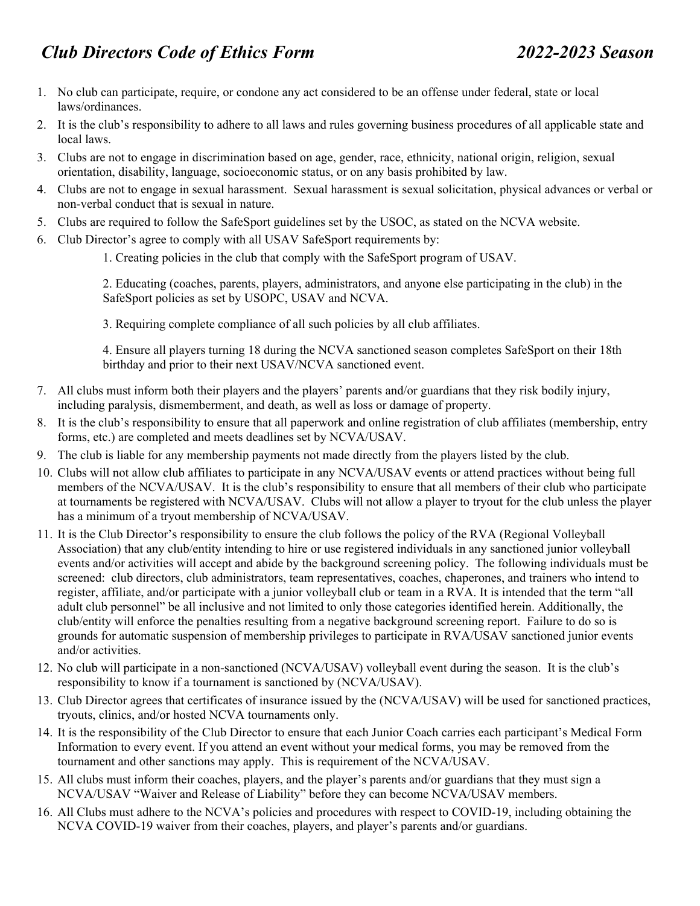- 1. No club can participate, require, or condone any act considered to be an offense under federal, state or local laws/ordinances.
- 2. It is the club's responsibility to adhere to all laws and rules governing business procedures of all applicable state and local laws.
- 3. Clubs are not to engage in discrimination based on age, gender, race, ethnicity, national origin, religion, sexual orientation, disability, language, socioeconomic status, or on any basis prohibited by law.
- 4. Clubs are not to engage in sexual harassment. Sexual harassment is sexual solicitation, physical advances or verbal or non-verbal conduct that is sexual in nature.
- 5. Clubs are required to follow the SafeSport guidelines set by the USOC, as stated on the NCVA website.
- 6. Club Director's agree to comply with all USAV SafeSport requirements by:
	- 1. Creating policies in the club that comply with the SafeSport program of USAV.

2. Educating (coaches, parents, players, administrators, and anyone else participating in the club) in the SafeSport policies as set by USOPC, USAV and NCVA.

3. Requiring complete compliance of all such policies by all club affiliates.

4. Ensure all players turning 18 during the NCVA sanctioned season completes SafeSport on their 18th birthday and prior to their next USAV/NCVA sanctioned event.

- 7. All clubs must inform both their players and the players' parents and/or guardians that they risk bodily injury, including paralysis, dismemberment, and death, as well as loss or damage of property.
- 8. It is the club's responsibility to ensure that all paperwork and online registration of club affiliates (membership, entry forms, etc.) are completed and meets deadlines set by NCVA/USAV.
- 9. The club is liable for any membership payments not made directly from the players listed by the club.
- 10. Clubs will not allow club affiliates to participate in any NCVA/USAV events or attend practices without being full members of the NCVA/USAV. It is the club's responsibility to ensure that all members of their club who participate at tournaments be registered with NCVA/USAV. Clubs will not allow a player to tryout for the club unless the player has a minimum of a tryout membership of NCVA/USAV.
- 11. It is the Club Director's responsibility to ensure the club follows the policy of the RVA (Regional Volleyball Association) that any club/entity intending to hire or use registered individuals in any sanctioned junior volleyball events and/or activities will accept and abide by the background screening policy. The following individuals must be screened: club directors, club administrators, team representatives, coaches, chaperones, and trainers who intend to register, affiliate, and/or participate with a junior volleyball club or team in a RVA. It is intended that the term "all adult club personnel" be all inclusive and not limited to only those categories identified herein. Additionally, the club/entity will enforce the penalties resulting from a negative background screening report. Failure to do so is grounds for automatic suspension of membership privileges to participate in RVA/USAV sanctioned junior events and/or activities.
- 12. No club will participate in a non-sanctioned (NCVA/USAV) volleyball event during the season. It is the club's responsibility to know if a tournament is sanctioned by (NCVA/USAV).
- 13. Club Director agrees that certificates of insurance issued by the (NCVA/USAV) will be used for sanctioned practices, tryouts, clinics, and/or hosted NCVA tournaments only.
- 14. It is the responsibility of the Club Director to ensure that each Junior Coach carries each participant's Medical Form Information to every event. If you attend an event without your medical forms, you may be removed from the tournament and other sanctions may apply. This is requirement of the NCVA/USAV.
- 15. All clubs must inform their coaches, players, and the player's parents and/or guardians that they must sign a NCVA/USAV "Waiver and Release of Liability" before they can become NCVA/USAV members.
- 16. All Clubs must adhere to the NCVA's policies and procedures with respect to COVID-19, including obtaining the NCVA COVID-19 waiver from their coaches, players, and player's parents and/or guardians.